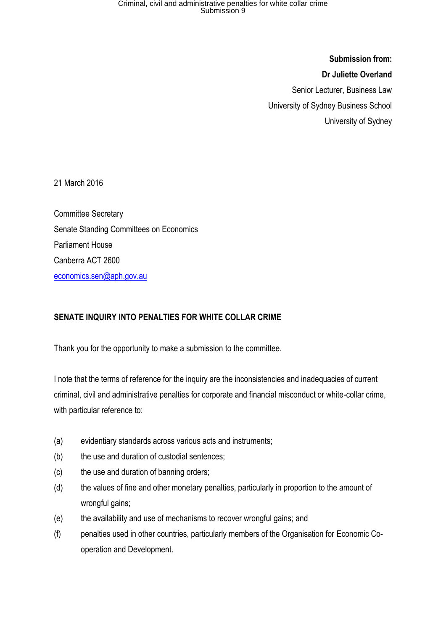**Submission from: Dr Juliette Overland**  Senior Lecturer, Business Law University of Sydney Business School University of Sydney

21 March 2016

Committee Secretary Senate Standing Committees on Economics Parliament House Canberra ACT 2600 [economics.sen@aph.gov.au](mailto:economics.sen@aph.gov.au)

### **SENATE INQUIRY INTO PENALTIES FOR WHITE COLLAR CRIME**

Thank you for the opportunity to make a submission to the committee.

I note that the terms of reference for the inquiry are the inconsistencies and inadequacies of current criminal, civil and administrative penalties for corporate and financial misconduct or white-collar crime, with particular reference to:

- (a) evidentiary standards across various acts and instruments;
- (b) the use and duration of custodial sentences;
- (c) the use and duration of banning orders;
- (d) the values of fine and other monetary penalties, particularly in proportion to the amount of wrongful gains;
- (e) the availability and use of mechanisms to recover wrongful gains; and
- (f) penalties used in other countries, particularly members of the Organisation for Economic Cooperation and Development.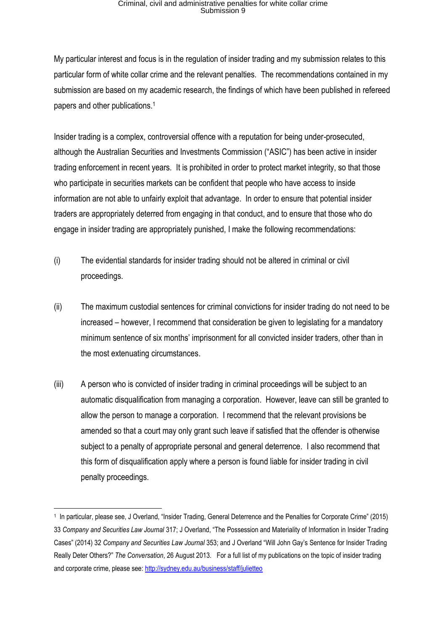My particular interest and focus is in the regulation of insider trading and my submission relates to this particular form of white collar crime and the relevant penalties. The recommendations contained in my submission are based on my academic research, the findings of which have been published in refereed papers and other publications.<sup>1</sup>

Insider trading is a complex, controversial offence with a reputation for being under-prosecuted, although the Australian Securities and Investments Commission ("ASIC") has been active in insider trading enforcement in recent years. It is prohibited in order to protect market integrity, so that those who participate in securities markets can be confident that people who have access to inside information are not able to unfairly exploit that advantage. In order to ensure that potential insider traders are appropriately deterred from engaging in that conduct, and to ensure that those who do engage in insider trading are appropriately punished, I make the following recommendations:

- (i) The evidential standards for insider trading should not be altered in criminal or civil proceedings.
- (ii) The maximum custodial sentences for criminal convictions for insider trading do not need to be increased – however, I recommend that consideration be given to legislating for a mandatory minimum sentence of six months' imprisonment for all convicted insider traders, other than in the most extenuating circumstances.
- (iii) A person who is convicted of insider trading in criminal proceedings will be subject to an automatic disqualification from managing a corporation. However, leave can still be granted to allow the person to manage a corporation. I recommend that the relevant provisions be amended so that a court may only grant such leave if satisfied that the offender is otherwise subject to a penalty of appropriate personal and general deterrence. I also recommend that this form of disqualification apply where a person is found liable for insider trading in civil penalty proceedings.

<sup>1</sup> In particular, please see, J Overland, "Insider Trading, General Deterrence and the Penalties for Corporate Crime" (2015) 33 *Company and Securities Law Journal* 317; J Overland, "The Possession and Materiality of Information in Insider Trading Cases" (2014) 32 *Company and Securities Law Journal* 353; and J Overland "Will John Gay's Sentence for Insider Trading Really Deter Others?" *The Conversation*, 26 August 2013. For a full list of my publications on the topic of insider trading and corporate crime, please see[: http://sydney.edu.au/business/staff/julietteo](http://sydney.edu.au/business/staff/julietteo)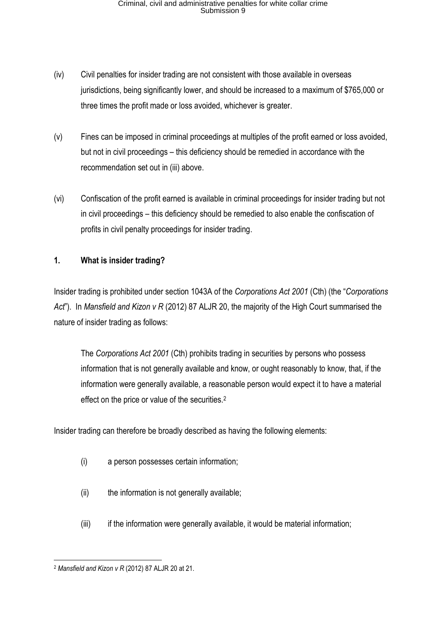- (iv) Civil penalties for insider trading are not consistent with those available in overseas jurisdictions, being significantly lower, and should be increased to a maximum of \$765,000 or three times the profit made or loss avoided, whichever is greater.
- (v) Fines can be imposed in criminal proceedings at multiples of the profit earned or loss avoided, but not in civil proceedings – this deficiency should be remedied in accordance with the recommendation set out in (iii) above.
- (vi) Confiscation of the profit earned is available in criminal proceedings for insider trading but not in civil proceedings – this deficiency should be remedied to also enable the confiscation of profits in civil penalty proceedings for insider trading.

### **1. What is insider trading?**

Insider trading is prohibited under section 1043A of the *Corporations Act 2001* (Cth) (the "*Corporations Act*"). In *Mansfield and Kizon v R* (2012) 87 ALJR 20, the majority of the High Court summarised the nature of insider trading as follows:

The *Corporations Act 2001* (Cth) prohibits trading in securities by persons who possess information that is not generally available and know, or ought reasonably to know, that, if the information were generally available, a reasonable person would expect it to have a material effect on the price or value of the securities.<sup>2</sup>

Insider trading can therefore be broadly described as having the following elements:

- (i) a person possesses certain information;
- (ii) the information is not generally available;
- $(iii)$  if the information were generally available, it would be material information;

**<sup>.</sup>** <sup>2</sup> *Mansfield and Kizon v R* (2012) 87 ALJR 20 at 21.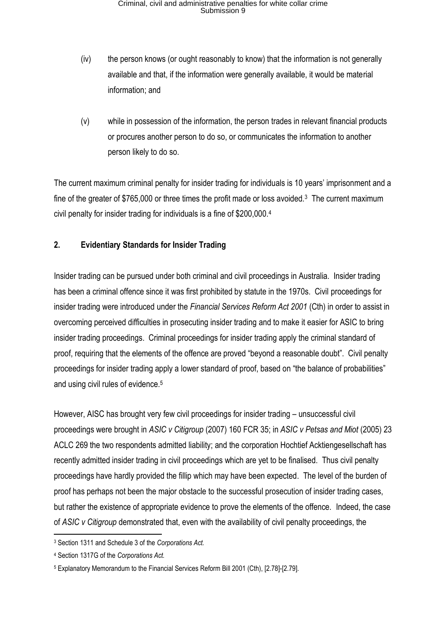- (iv) the person knows (or ought reasonably to know) that the information is not generally available and that, if the information were generally available, it would be material information; and
- (v) while in possession of the information, the person trades in relevant financial products or procures another person to do so, or communicates the information to another person likely to do so.

The current maximum criminal penalty for insider trading for individuals is 10 years' imprisonment and a fine of the greater of \$765,000 or three times the profit made or loss avoided.<sup>3</sup> The current maximum civil penalty for insider trading for individuals is a fine of \$200,000.<sup>4</sup>

### **2. Evidentiary Standards for Insider Trading**

Insider trading can be pursued under both criminal and civil proceedings in Australia. Insider trading has been a criminal offence since it was first prohibited by statute in the 1970s. Civil proceedings for insider trading were introduced under the *Financial Services Reform Act 2001* (Cth) in order to assist in overcoming perceived difficulties in prosecuting insider trading and to make it easier for ASIC to bring insider trading proceedings. Criminal proceedings for insider trading apply the criminal standard of proof, requiring that the elements of the offence are proved "beyond a reasonable doubt". Civil penalty proceedings for insider trading apply a lower standard of proof, based on "the balance of probabilities" and using civil rules of evidence.<sup>5</sup>

However, AISC has brought very few civil proceedings for insider trading – unsuccessful civil proceedings were brought in *ASIC v Citigroup* (2007) 160 FCR 35; in *ASIC v Petsas and Miot* (2005) 23 ACLC 269 the two respondents admitted liability; and the corporation Hochtief Acktiengesellschaft has recently admitted insider trading in civil proceedings which are yet to be finalised. Thus civil penalty proceedings have hardly provided the fillip which may have been expected. The level of the burden of proof has perhaps not been the major obstacle to the successful prosecution of insider trading cases, but rather the existence of appropriate evidence to prove the elements of the offence. Indeed, the case of *ASIC v Citigroup* demonstrated that, even with the availability of civil penalty proceedings, the

**<sup>.</sup>** <sup>3</sup> Section 1311 and Schedule 3 of the *Corporations Act.* 

<sup>4</sup> Section 1317G of the *Corporations Act.*

<sup>5</sup> Explanatory Memorandum to the Financial Services Reform Bill 2001 (Cth), [2.78]-[2.79].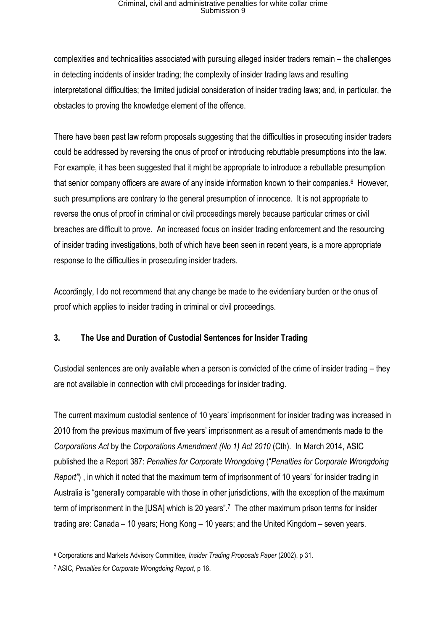complexities and technicalities associated with pursuing alleged insider traders remain – the challenges in detecting incidents of insider trading; the complexity of insider trading laws and resulting interpretational difficulties; the limited judicial consideration of insider trading laws; and, in particular, the obstacles to proving the knowledge element of the offence.

There have been past law reform proposals suggesting that the difficulties in prosecuting insider traders could be addressed by reversing the onus of proof or introducing rebuttable presumptions into the law. For example, it has been suggested that it might be appropriate to introduce a rebuttable presumption that senior company officers are aware of any inside information known to their companies.<sup>6</sup> However, such presumptions are contrary to the general presumption of innocence. It is not appropriate to reverse the onus of proof in criminal or civil proceedings merely because particular crimes or civil breaches are difficult to prove. An increased focus on insider trading enforcement and the resourcing of insider trading investigations, both of which have been seen in recent years, is a more appropriate response to the difficulties in prosecuting insider traders.

Accordingly, I do not recommend that any change be made to the evidentiary burden or the onus of proof which applies to insider trading in criminal or civil proceedings.

### **3. The Use and Duration of Custodial Sentences for Insider Trading**

Custodial sentences are only available when a person is convicted of the crime of insider trading – they are not available in connection with civil proceedings for insider trading.

The current maximum custodial sentence of 10 years' imprisonment for insider trading was increased in 2010 from the previous maximum of five years' imprisonment as a result of amendments made to the *Corporations Act* by the *Corporations Amendment (No 1) Act 2010* (Cth). In March 2014, ASIC published the a Report 387: *Penalties for Corporate Wrongdoing* ("*Penalties for Corporate Wrongdoing Report*<sup>"</sup>), in which it noted that the maximum term of imprisonment of 10 years' for insider trading in Australia is "generally comparable with those in other jurisdictions, with the exception of the maximum term of imprisonment in the [USA] which is 20 years".<sup>7</sup> The other maximum prison terms for insider trading are: Canada – 10 years; Hong Kong – 10 years; and the United Kingdom – seven years.

 $\overline{a}$ <sup>6</sup> Corporations and Markets Advisory Committee, *Insider Trading Proposals Paper* (2002), p 31.

<sup>7</sup> ASIC*, Penalties for Corporate Wrongdoing Report*, p 16.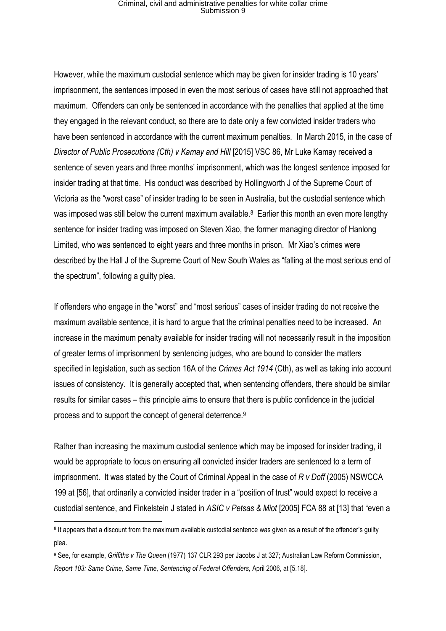However, while the maximum custodial sentence which may be given for insider trading is 10 years' imprisonment, the sentences imposed in even the most serious of cases have still not approached that maximum. Offenders can only be sentenced in accordance with the penalties that applied at the time they engaged in the relevant conduct, so there are to date only a few convicted insider traders who have been sentenced in accordance with the current maximum penalties. In March 2015, in the case of *Director of Public Prosecutions (Cth) v Kamay and Hill* [2015] VSC 86, Mr Luke Kamay received a sentence of seven years and three months' imprisonment, which was the longest sentence imposed for insider trading at that time. His conduct was described by Hollingworth J of the Supreme Court of Victoria as the "worst case" of insider trading to be seen in Australia, but the custodial sentence which was imposed was still below the current maximum available.<sup>8</sup> Earlier this month an even more lengthy sentence for insider trading was imposed on Steven Xiao, the former managing director of Hanlong Limited, who was sentenced to eight years and three months in prison. Mr Xiao's crimes were described by the Hall J of the Supreme Court of New South Wales as "falling at the most serious end of the spectrum", following a guilty plea.

If offenders who engage in the "worst" and "most serious" cases of insider trading do not receive the maximum available sentence, it is hard to argue that the criminal penalties need to be increased. An increase in the maximum penalty available for insider trading will not necessarily result in the imposition of greater terms of imprisonment by sentencing judges, who are bound to consider the matters specified in legislation, such as section 16A of the *Crimes Act 1914* (Cth), as well as taking into account issues of consistency. It is generally accepted that, when sentencing offenders, there should be similar results for similar cases – this principle aims to ensure that there is public confidence in the judicial process and to support the concept of general deterrence.<sup>9</sup>

Rather than increasing the maximum custodial sentence which may be imposed for insider trading, it would be appropriate to focus on ensuring all convicted insider traders are sentenced to a term of imprisonment. It was stated by the Court of Criminal Appeal in the case of *R v Doff* (2005) NSWCCA 199 at [56], that ordinarily a convicted insider trader in a "position of trust" would expect to receive a custodial sentence, and Finkelstein J stated in *ASIC v Petsas & Miot* [2005] FCA 88 at [13] that "even a

<sup>&</sup>lt;sup>8</sup> It appears that a discount from the maximum available custodial sentence was given as a result of the offender's guilty plea.

<sup>9</sup> See, for example, *Griffiths v The Queen* (1977) 137 CLR 293 per Jacobs J at 327; Australian Law Reform Commission, *Report 103: Same Crime, Same Time, Sentencing of Federal Offenders,* April 2006, at [5.18].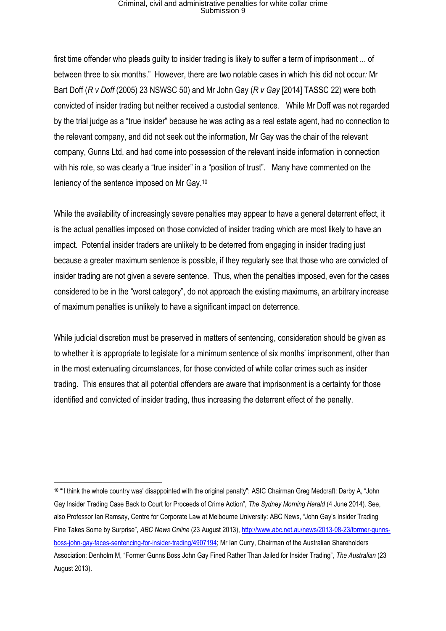first time offender who pleads guilty to insider trading is likely to suffer a term of imprisonment ... of between three to six months." However, there are two notable cases in which this did not occur*:* Mr Bart Doff (*R v Doff* (2005) 23 NSWSC 50) and Mr John Gay (*R v Gay* [2014] TASSC 22) were both convicted of insider trading but neither received a custodial sentence. While Mr Doff was not regarded by the trial judge as a "true insider" because he was acting as a real estate agent, had no connection to the relevant company, and did not seek out the information, Mr Gay was the chair of the relevant company, Gunns Ltd, and had come into possession of the relevant inside information in connection with his role, so was clearly a "true insider" in a "position of trust". Many have commented on the leniency of the sentence imposed on Mr Gay.<sup>10</sup>

While the availability of increasingly severe penalties may appear to have a general deterrent effect, it is the actual penalties imposed on those convicted of insider trading which are most likely to have an impact. Potential insider traders are unlikely to be deterred from engaging in insider trading just because a greater maximum sentence is possible, if they regularly see that those who are convicted of insider trading are not given a severe sentence. Thus, when the penalties imposed, even for the cases considered to be in the "worst category", do not approach the existing maximums, an arbitrary increase of maximum penalties is unlikely to have a significant impact on deterrence.

While judicial discretion must be preserved in matters of sentencing, consideration should be given as to whether it is appropriate to legislate for a minimum sentence of six months' imprisonment, other than in the most extenuating circumstances, for those convicted of white collar crimes such as insider trading. This ensures that all potential offenders are aware that imprisonment is a certainty for those identified and convicted of insider trading, thus increasing the deterrent effect of the penalty.

<sup>10 &</sup>quot;'I think the whole country was' disappointed with the original penalty": ASIC Chairman Greg Medcraft: Darby A, "John Gay Insider Trading Case Back to Court for Proceeds of Crime Action", *The Sydney Morning Herald* (4 June 2014). See, also Professor Ian Ramsay, Centre for Corporate Law at Melbourne University: ABC News, "John Gay's Insider Trading Fine Takes Some by Surprise", *ABC News Online* (23 August 2013)[, http://www.abc.net.au/news/2013-08-23/former-gunns](http://www.abc.net.au/news/2013-08-23/former-gunns-boss-john-gay-faces-sentencing-for-insider-trading/4907194)[boss-john-gay-faces-sentencing-for-insider-trading/4907194;](http://www.abc.net.au/news/2013-08-23/former-gunns-boss-john-gay-faces-sentencing-for-insider-trading/4907194) Mr Ian Curry, Chairman of the Australian Shareholders Association: Denholm M, "Former Gunns Boss John Gay Fined Rather Than Jailed for Insider Trading", *The Australian* (23 August 2013).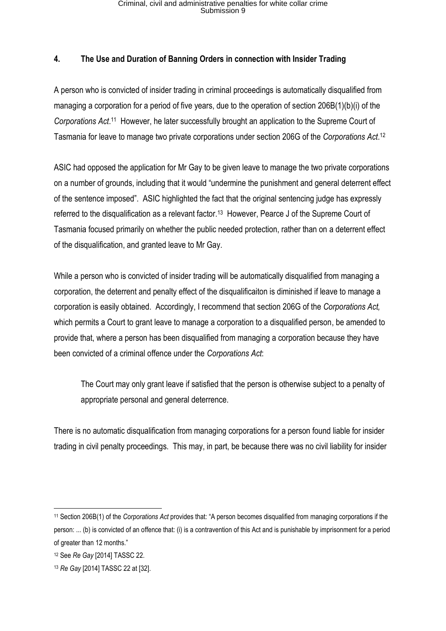#### **4. The Use and Duration of Banning Orders in connection with Insider Trading**

A person who is convicted of insider trading in criminal proceedings is automatically disqualified from managing a corporation for a period of five years, due to the operation of section 206B(1)(b)(i) of the Corporations Act.<sup>11</sup> However, he later successfully brought an application to the Supreme Court of Tasmania for leave to manage two private corporations under section 206G of the *Corporations Act*. 12

ASIC had opposed the application for Mr Gay to be given leave to manage the two private corporations on a number of grounds, including that it would "undermine the punishment and general deterrent effect of the sentence imposed". ASIC highlighted the fact that the original sentencing judge has expressly referred to the disqualification as a relevant factor.<sup>13</sup> However, Pearce J of the Supreme Court of Tasmania focused primarily on whether the public needed protection, rather than on a deterrent effect of the disqualification, and granted leave to Mr Gay.

While a person who is convicted of insider trading will be automatically disqualified from managing a corporation, the deterrent and penalty effect of the disqualificaiton is diminished if leave to manage a corporation is easily obtained. Accordingly, I recommend that section 206G of the *Corporations Act,*  which permits a Court to grant leave to manage a corporation to a disqualified person, be amended to provide that, where a person has been disqualified from managing a corporation because they have been convicted of a criminal offence under the *Corporations Act*:

The Court may only grant leave if satisfied that the person is otherwise subject to a penalty of appropriate personal and general deterrence.

There is no automatic disqualification from managing corporations for a person found liable for insider trading in civil penalty proceedings. This may, in part, be because there was no civil liability for insider

<sup>11</sup> Section 206B(1) of the *Corporations Act* provides that: "A person becomes disqualified from managing corporations if the person: ... (b) is convicted of an offence that: (i) is a contravention of this Act and is punishable by imprisonment for a period of greater than 12 months."

<sup>12</sup> See *Re Gay* [2014] TASSC 22.

<sup>13</sup> *Re Gay* [2014] TASSC 22 at [32].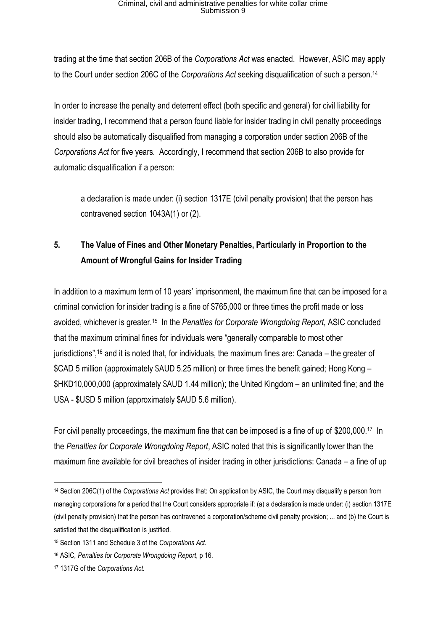trading at the time that section 206B of the *Corporations Act* was enacted. However, ASIC may apply to the Court under section 206C of the *Corporations Act* seeking disqualification of such a person.<sup>14</sup>

In order to increase the penalty and deterrent effect (both specific and general) for civil liability for insider trading, I recommend that a person found liable for insider trading in civil penalty proceedings should also be automatically disqualified from managing a corporation under section 206B of the *Corporations Act* for five years*.* Accordingly, I recommend that section 206B to also provide for automatic disqualification if a person:

a declaration is made under: (i) section 1317E (civil penalty provision) that the person has contravened section 1043A(1) or (2).

### **5. The Value of Fines and Other Monetary Penalties, Particularly in Proportion to the Amount of Wrongful Gains for Insider Trading**

In addition to a maximum term of 10 years' imprisonment, the maximum fine that can be imposed for a criminal conviction for insider trading is a fine of \$765,000 or three times the profit made or loss avoided, whichever is greater. 15 In the *Penalties for Corporate Wrongdoing Report,* ASIC concluded that the maximum criminal fines for individuals were "generally comparable to most other jurisdictions", <sup>16</sup> and it is noted that, for individuals, the maximum fines are: Canada – the greater of \$CAD 5 million (approximately \$AUD 5.25 million) or three times the benefit gained; Hong Kong – \$HKD10,000,000 (approximately \$AUD 1.44 million); the United Kingdom – an unlimited fine; and the USA - \$USD 5 million (approximately \$AUD 5.6 million).

For civil penalty proceedings, the maximum fine that can be imposed is a fine of up of \$200,000.<sup>17</sup> In the *Penalties for Corporate Wrongdoing Report*, ASIC noted that this is significantly lower than the maximum fine available for civil breaches of insider trading in other jurisdictions: Canada – a fine of up

**<sup>.</sup>** <sup>14</sup> Section 206C(1) of the *Corporations Act* provides that: On application by ASIC, the Court may disqualify a person from managing corporations for a period that the Court considers appropriate if: (a) a declaration is made under: (i) section 1317E (civil penalty provision) that the person has contravened a corporation/scheme civil penalty provision; ... and (b) the Court is satisfied that the disqualification is justified.

<sup>15</sup> Section 1311 and Schedule 3 of the *Corporations Act.* 

<sup>16</sup> ASIC*, Penalties for Corporate Wrongdoing Report*, p 16.

<sup>17</sup> 1317G of the *Corporations Act.*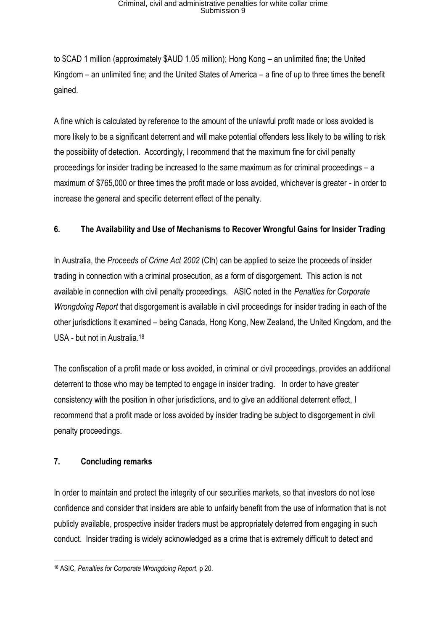to \$CAD 1 million (approximately \$AUD 1.05 million); Hong Kong – an unlimited fine; the United Kingdom – an unlimited fine; and the United States of America – a fine of up to three times the benefit gained.

A fine which is calculated by reference to the amount of the unlawful profit made or loss avoided is more likely to be a significant deterrent and will make potential offenders less likely to be willing to risk the possibility of detection. Accordingly, I recommend that the maximum fine for civil penalty proceedings for insider trading be increased to the same maximum as for criminal proceedings – a maximum of \$765,000 or three times the profit made or loss avoided, whichever is greater - in order to increase the general and specific deterrent effect of the penalty.

#### **6. The Availability and Use of Mechanisms to Recover Wrongful Gains for Insider Trading**

In Australia, the *Proceeds of Crime Act 2002* (Cth) can be applied to seize the proceeds of insider trading in connection with a criminal prosecution, as a form of disgorgement. This action is not available in connection with civil penalty proceedings. ASIC noted in the *Penalties for Corporate Wrongdoing Report* that disgorgement is available in civil proceedings for insider trading in each of the other jurisdictions it examined – being Canada, Hong Kong, New Zealand, the United Kingdom, and the USA - but not in Australia.<sup>18</sup>

The confiscation of a profit made or loss avoided, in criminal or civil proceedings, provides an additional deterrent to those who may be tempted to engage in insider trading. In order to have greater consistency with the position in other jurisdictions, and to give an additional deterrent effect, I recommend that a profit made or loss avoided by insider trading be subject to disgorgement in civil penalty proceedings.

### **7. Concluding remarks**

In order to maintain and protect the integrity of our securities markets, so that investors do not lose confidence and consider that insiders are able to unfairly benefit from the use of information that is not publicly available, prospective insider traders must be appropriately deterred from engaging in such conduct. Insider trading is widely acknowledged as a crime that is extremely difficult to detect and

**<sup>.</sup>** <sup>18</sup> ASIC*, Penalties for Corporate Wrongdoing Report*, p 20.